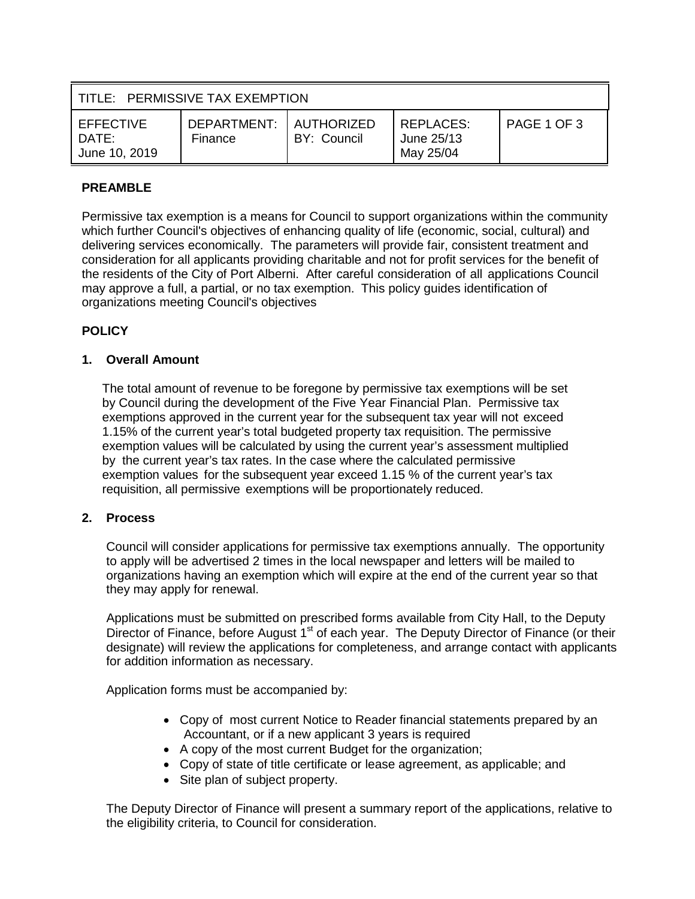| TITLE: PERMISSIVE TAX EXEMPTION        |                        |                           |                                             |             |
|----------------------------------------|------------------------|---------------------------|---------------------------------------------|-------------|
| EFFECTIVE<br>$DATF^+$<br>June 10, 2019 | DEPARTMENT:<br>Finance | AUTHORIZED<br>BY: Council | <b>REPLACES:</b><br>June 25/13<br>May 25/04 | PAGE 1 OF 3 |

# **PREAMBLE**

Permissive tax exemption is a means for Council to support organizations within the community which further Council's objectives of enhancing quality of life (economic, social, cultural) and delivering services economically. The parameters will provide fair, consistent treatment and consideration for all applicants providing charitable and not for profit services for the benefit of the residents of the City of Port Alberni. After careful consideration of all applications Council may approve a full, a partial, or no tax exemption. This policy guides identification of organizations meeting Council's objectives

# **POLICY**

## **1. Overall Amount**

The total amount of revenue to be foregone by permissive tax exemptions will be set by Council during the development of the Five Year Financial Plan. Permissive tax exemptions approved in the current year for the subsequent tax year will not exceed 1.15% of the current year's total budgeted property tax requisition. The permissive exemption values will be calculated by using the current year's assessment multiplied by the current year's tax rates. In the case where the calculated permissive exemption values for the subsequent year exceed 1.15 % of the current year's tax requisition, all permissive exemptions will be proportionately reduced.

## **2. Process**

Council will consider applications for permissive tax exemptions annually. The opportunity to apply will be advertised 2 times in the local newspaper and letters will be mailed to organizations having an exemption which will expire at the end of the current year so that they may apply for renewal.

Applications must be submitted on prescribed forms available from City Hall, to the Deputy Director of Finance, before August 1<sup>st</sup> of each year. The Deputy Director of Finance (or their designate) will review the applications for completeness, and arrange contact with applicants for addition information as necessary.

Application forms must be accompanied by:

- Copy of most current Notice to Reader financial statements prepared by an Accountant, or if a new applicant 3 years is required
- A copy of the most current Budget for the organization;
- Copy of state of title certificate or lease agreement, as applicable; and
- Site plan of subject property.

The Deputy Director of Finance will present a summary report of the applications, relative to the eligibility criteria, to Council for consideration.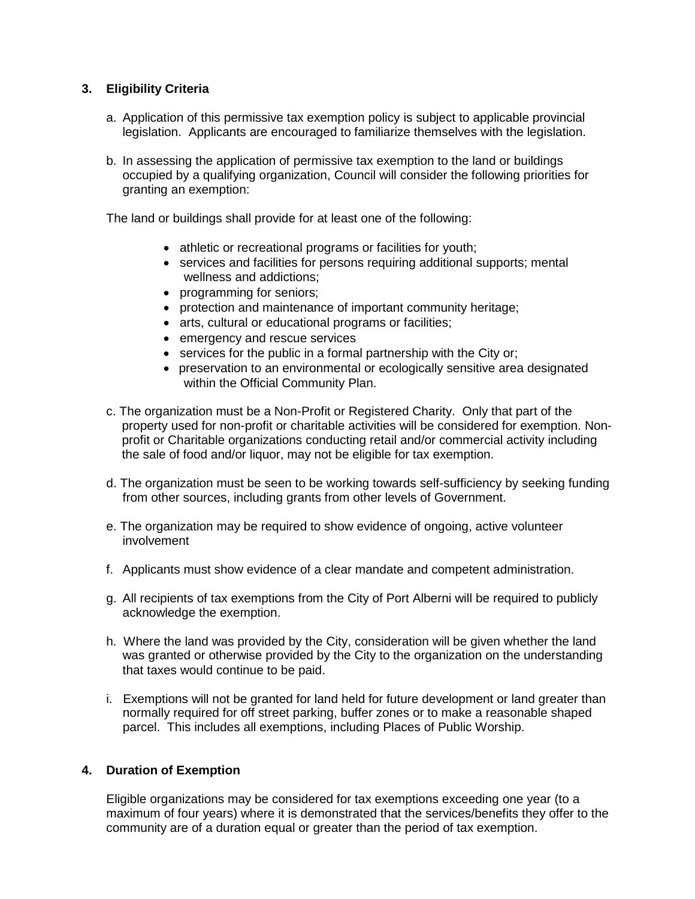## **3. Eligibility Criteria**

- a. Application of this permissive tax exemption policy is subject to applicable provincial legislation. Applicants are encouraged to familiarize themselves with the legislation.
- b. In assessing the application of permissive tax exemption to the land or buildings occupied by a qualifying organization, Council will consider the following priorities for granting an exemption:

The land or buildings shall provide for at least one of the following:

- athletic or recreational programs or facilities for youth;
- services and facilities for persons requiring additional supports; mental wellness and addictions;
- programming for seniors;
- protection and maintenance of important community heritage;
- arts, cultural or educational programs or facilities;
- emergency and rescue services
- services for the public in a formal partnership with the City or;
- preservation to an environmental or ecologically sensitive area designated within the Official Community Plan.
- c. The organization must be a Non-Profit or Registered Charity. Only that part of the property used for non-profit or charitable activities will be considered for exemption. Nonprofit or Charitable organizations conducting retail and/or commercial activity including the sale of food and/or liquor, may not be eligible for tax exemption.
- d. The organization must be seen to be working towards self-sufficiency by seeking funding from other sources, including grants from other levels of Government.
- e. The organization may be required to show evidence of ongoing, active volunteer involvement
- f. Applicants must show evidence of a clear mandate and competent administration.
- g. All recipients of tax exemptions from the City of Port Alberni will be required to publicly acknowledge the exemption.
- h. Where the land was provided by the City, consideration will be given whether the land was granted or otherwise provided by the City to the organization on the understanding that taxes would continue to be paid.
- i. Exemptions will not be granted for land held for future development or land greater than normally required for off street parking, buffer zones or to make a reasonable shaped parcel. This includes all exemptions, including Places of Public Worship.

## **4. Duration of Exemption**

Eligible organizations may be considered for tax exemptions exceeding one year (to a maximum of four years) where it is demonstrated that the services/benefits they offer to the community are of a duration equal or greater than the period of tax exemption.